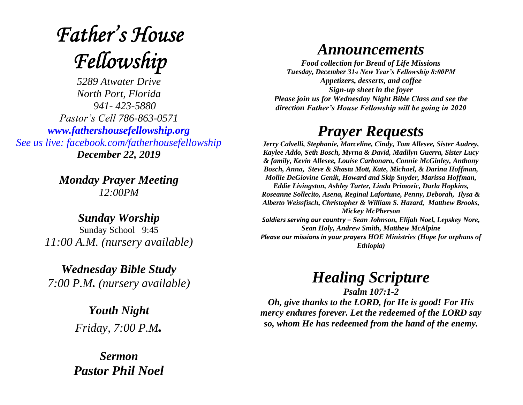# **Father's House** Fellowship

*5289 Atwater Drive North Port, Florida 941- 423-5880 Pastor's Cell 786-863-0571 [www.fathershousefellowship.org](http://www.fathershousefellowship.org/) See us live: facebook.com/fatherhousefellowship December 22, 2019*

> *Monday Prayer Meeting 12:00PM*

*Sunday Worship* Sunday School 9:45 *11:00 A.M. (nursery available)*

*Wednesday Bible Study 7:00 P.M. (nursery available)*

> *Youth Night Friday, 7:00 P.M.*

*Sermon Pastor Phil Noel*

#### *Announcements*

*Food collection for Bread of Life Missions Tuesday, December 31st New Year's Fellowship 8:00PM Appetizers, desserts, and coffee Sign-up sheet in the foyer Please join us for Wednesday Night Bible Class and see the direction Father's House Fellowship will be going in 2020*

### *Prayer Requests*

*Jerry Calvelli, Stephanie, Marceline, Cindy, Tom Allesee, Sister Audrey, Kaylee Addo, Seth Bosch, Myrna & David, Madilyn Guerra, Sister Lucy & family, Kevin Allesee, Louise Carbonaro, Connie McGinley, Anthony Bosch, Anna, Steve & Shasta Mott, Kate, Michael, & Darina Hoffman, Mollie DeGiovine Genik, Howard and Skip Snyder, Marissa Hoffman, Eddie Livingston, Ashley Tarter, Linda Primozic, Darla Hopkins, Roseanne Sollecito, Asena, Reginal Lafortune, Penny, Deborah, Ilysa & Alberto Weissfisch, Christopher & William S. Hazard, Matthew Brooks, Mickey McPherson Soldiers serving our country – Sean Johnson, Elijah Noel, Lepskey Nore, Sean Holy, Andrew Smith, Matthew McAlpine Please our missions in your prayers HOE Ministries (Hope for orphans of Ethiopia)*

## *Healing Scripture*

*Psalm 107:1-2 Oh, give thanks to the LORD, for He is good! For His mercy endures forever. Let the redeemed of the LORD say so, whom He has redeemed from the hand of the enemy.*